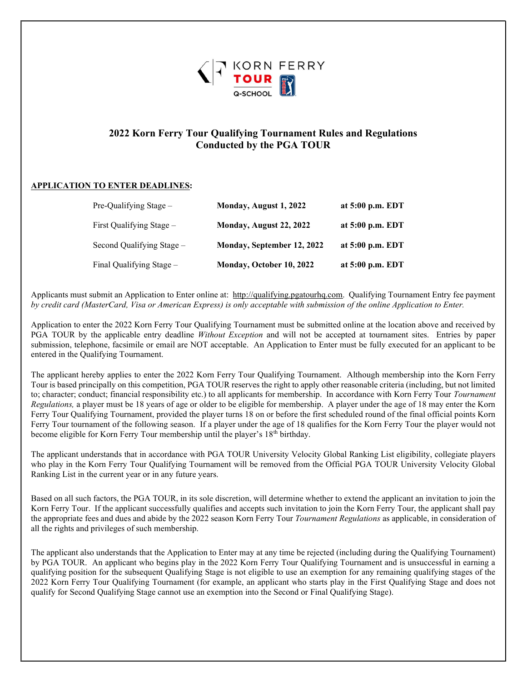

# 2022 Korn Ferry Tour Qualifying Tournament Rules and Regulations Conducted by the PGA TOUR

### APPLICATION TO ENTER DEADLINES:

| Pre-Qualifying Stage -    | Monday, August 1, 2022     | at 5:00 p.m. EDT |
|---------------------------|----------------------------|------------------|
| First Qualifying Stage -  | Monday, August 22, 2022    | at 5:00 p.m. EDT |
| Second Qualifying Stage – | Monday, September 12, 2022 | at 5:00 p.m. EDT |
| Final Qualifying Stage -  | Monday, October 10, 2022   | at 5:00 p.m. EDT |

Applicants must submit an Application to Enter online at: http://qualifying.pgatourhq.com. Qualifying Tournament Entry fee payment by credit card (MasterCard, Visa or American Express) is only acceptable with submission of the online Application to Enter.

Application to enter the 2022 Korn Ferry Tour Qualifying Tournament must be submitted online at the location above and received by PGA TOUR by the applicable entry deadline Without Exception and will not be accepted at tournament sites. Entries by paper submission, telephone, facsimile or email are NOT acceptable. An Application to Enter must be fully executed for an applicant to be entered in the Qualifying Tournament.

The applicant hereby applies to enter the 2022 Korn Ferry Tour Qualifying Tournament. Although membership into the Korn Ferry Tour is based principally on this competition, PGA TOUR reserves the right to apply other reasonable criteria (including, but not limited to; character; conduct; financial responsibility etc.) to all applicants for membership. In accordance with Korn Ferry Tour Tournament Regulations, a player must be 18 years of age or older to be eligible for membership. A player under the age of 18 may enter the Korn Ferry Tour Qualifying Tournament, provided the player turns 18 on or before the first scheduled round of the final official points Korn Ferry Tour tournament of the following season. If a player under the age of 18 qualifies for the Korn Ferry Tour the player would not become eligible for Korn Ferry Tour membership until the player's 18<sup>th</sup> birthday.

The applicant understands that in accordance with PGA TOUR University Velocity Global Ranking List eligibility, collegiate players who play in the Korn Ferry Tour Qualifying Tournament will be removed from the Official PGA TOUR University Velocity Global Ranking List in the current year or in any future years.

Based on all such factors, the PGA TOUR, in its sole discretion, will determine whether to extend the applicant an invitation to join the Korn Ferry Tour. If the applicant successfully qualifies and accepts such invitation to join the Korn Ferry Tour, the applicant shall pay the appropriate fees and dues and abide by the 2022 season Korn Ferry Tour Tournament Regulations as applicable, in consideration of all the rights and privileges of such membership.

The applicant also understands that the Application to Enter may at any time be rejected (including during the Qualifying Tournament) by PGA TOUR. An applicant who begins play in the 2022 Korn Ferry Tour Qualifying Tournament and is unsuccessful in earning a qualifying position for the subsequent Qualifying Stage is not eligible to use an exemption for any remaining qualifying stages of the 2022 Korn Ferry Tour Qualifying Tournament (for example, an applicant who starts play in the First Qualifying Stage and does not qualify for Second Qualifying Stage cannot use an exemption into the Second or Final Qualifying Stage).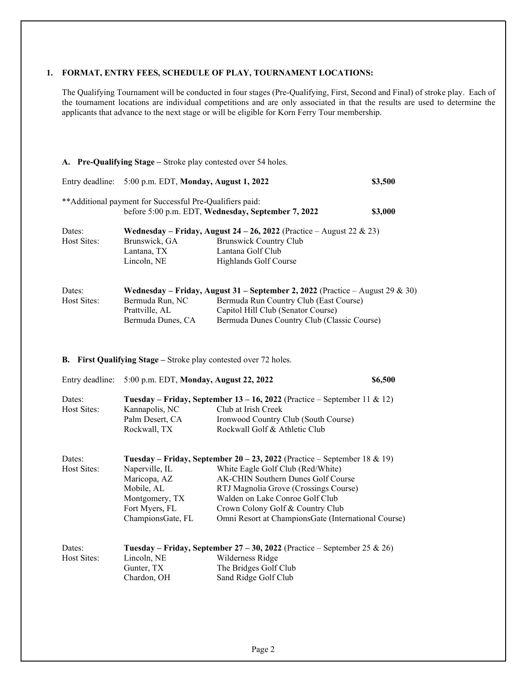#### 1. FORMAT, ENTRY FEES, SCHEDULE OF PLAY, TOURNAMENT LOCATIONS:

The Qualifying Tournament will be conducted in four stages (Pre-Qualifying, First, Second and Final) of stroke play. Each of the tournament locations are individual competitions and are only associated in that the results are used to determine the applicants that advance to the next stage or will be eligible for Korn Ferry Tour membership.

| Entry deadline:                                 | 5:00 p.m. EDT, Monday, August 1, 2022                                                                 |                                                                                                                                                                                                                                                                                                                            | \$3,500 |
|-------------------------------------------------|-------------------------------------------------------------------------------------------------------|----------------------------------------------------------------------------------------------------------------------------------------------------------------------------------------------------------------------------------------------------------------------------------------------------------------------------|---------|
|                                                 | ** Additional payment for Successful Pre-Qualifiers paid:                                             | before 5:00 p.m. EDT, Wednesday, September 7, 2022                                                                                                                                                                                                                                                                         | \$3,000 |
| Dates:<br><b>Host Sites:</b>                    | Brunswick, GA<br>Lantana, TX<br>Lincoln, NE                                                           | Wednesday - Friday, August 24 - 26, 2022 (Practice - August 22 & 23)<br><b>Brunswick Country Club</b><br>Lantana Golf Club<br>Highlands Golf Course                                                                                                                                                                        |         |
| Dates:<br><b>Host Sites:</b>                    | Bermuda Run, NC<br>Prattville, AL<br>Bermuda Dunes, CA                                                | Wednesday – Friday, August 31 – September 2, 2022 (Practice – August 29 & 30)<br>Bermuda Run Country Club (East Course)<br>Capitol Hill Club (Senator Course)<br>Bermuda Dunes Country Club (Classic Course)                                                                                                               |         |
|                                                 |                                                                                                       |                                                                                                                                                                                                                                                                                                                            |         |
| В.                                              | First Qualifying Stage - Stroke play contested over 72 holes.                                         |                                                                                                                                                                                                                                                                                                                            |         |
| Entry deadline:<br>Dates:<br><b>Host Sites:</b> | 5:00 p.m. EDT, Monday, August 22, 2022<br>Kannapolis, NC<br>Palm Desert, CA<br>Rockwall, TX           | Tuesday – Friday, September 13 – 16, 2022 (Practice – September 11 & 12)<br>Club at Irish Creek<br>Ironwood Country Club (South Course)<br>Rockwall Golf & Athletic Club                                                                                                                                                   | \$6,500 |
| Dates:<br>Host Sites:                           | Naperville, IL<br>Maricopa, AZ<br>Mobile, AL<br>Montgomery, TX<br>Fort Myers, FL<br>ChampionsGate, FL | Tuesday – Friday, September 20 – 23, 2022 (Practice – September 18 & 19)<br>White Eagle Golf Club (Red/White)<br>AK-CHIN Southern Dunes Golf Course<br>RTJ Magnolia Grove (Crossings Course)<br>Walden on Lake Conroe Golf Club<br>Crown Colony Golf & Country Club<br>Omni Resort at ChampionsGate (International Course) |         |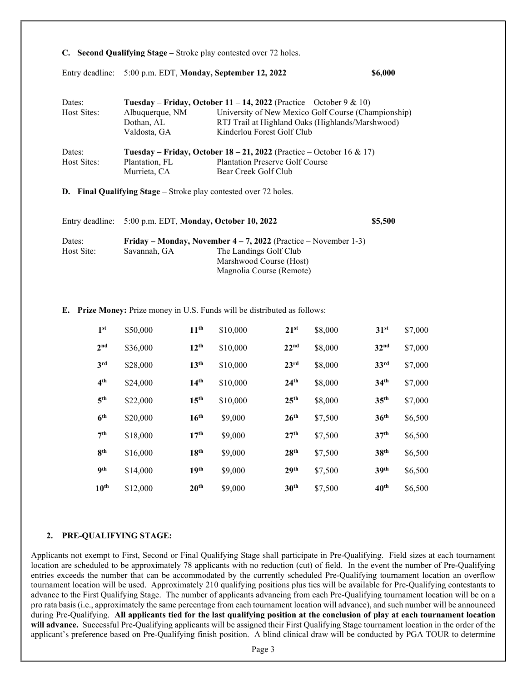|                 |                                         | C. Second Qualifying Stage – Stroke play contested over 72 holes.           |                                                  |  |  |
|-----------------|-----------------------------------------|-----------------------------------------------------------------------------|--------------------------------------------------|--|--|
|                 |                                         | Entry deadline: 5:00 p.m. EDT, Monday, September 12, 2022                   | \$6,000                                          |  |  |
| Dates:          |                                         | Tuesday – Friday, October 11 – 14, 2022 (Practice – October 9 & 10)         |                                                  |  |  |
| Host Sites:     | Albuquerque, NM                         | University of New Mexico Golf Course (Championship)                         |                                                  |  |  |
|                 | Dothan, AL                              |                                                                             | RTJ Trail at Highland Oaks (Highlands/Marshwood) |  |  |
|                 | Valdosta, GA                            | Kinderlou Forest Golf Club                                                  |                                                  |  |  |
| Dates:          |                                         | <b>Tuesday – Friday, October 18 – 21, 2022</b> (Practice – October 16 & 17) |                                                  |  |  |
| Host Sites:     | Plantation, FL                          | <b>Plantation Preserve Golf Course</b>                                      |                                                  |  |  |
|                 | Murrieta, CA                            | Bear Creek Golf Club                                                        |                                                  |  |  |
|                 |                                         | <b>D.</b> Final Qualifying Stage – Stroke play contested over 72 holes.     |                                                  |  |  |
| Entry deadline: | 5:00 p.m. EDT, Monday, October 10, 2022 |                                                                             | \$5,500                                          |  |  |
| Dates:          |                                         | Friday – Monday, November $4 - 7$ , 2022 (Practice – November 1-3)          |                                                  |  |  |

| E. Prize Money: Prize money in U.S. Funds will be distributed as follows: |  |
|---------------------------------------------------------------------------|--|

Host Site: Savannah, GA The Landings Golf Club

| 1 <sup>st</sup>  | \$50,000 | 11 <sup>th</sup> | \$10,000 | $21^{st}$        | \$8,000 | 31 <sup>st</sup> | \$7,000 |
|------------------|----------|------------------|----------|------------------|---------|------------------|---------|
| 2 <sup>nd</sup>  | \$36,000 | $12^{th}$        | \$10,000 | 22 <sup>nd</sup> | \$8,000 | 32 <sup>nd</sup> | \$7,000 |
| 3 <sup>rd</sup>  | \$28,000 | 13 <sup>th</sup> | \$10,000 | 23 <sup>rd</sup> | \$8,000 | 33 <sup>rd</sup> | \$7,000 |
| 4 <sup>th</sup>  | \$24,000 | 14 <sup>th</sup> | \$10,000 | 24 <sup>th</sup> | \$8,000 | 34 <sup>th</sup> | \$7,000 |
| 5 <sup>th</sup>  | \$22,000 | 15 <sup>th</sup> | \$10,000 | 25 <sup>th</sup> | \$8,000 | 35 <sup>th</sup> | \$7,000 |
| 6 <sup>th</sup>  | \$20,000 | 16 <sup>th</sup> | \$9,000  | 26 <sup>th</sup> | \$7,500 | 36 <sup>th</sup> | \$6,500 |
| 7 <sup>th</sup>  | \$18,000 | 17 <sup>th</sup> | \$9,000  | 27 <sup>th</sup> | \$7,500 | 37 <sup>th</sup> | \$6,500 |
| 8 <sup>th</sup>  | \$16,000 | 18 <sup>th</sup> | \$9,000  | 28 <sup>th</sup> | \$7,500 | 38 <sup>th</sup> | \$6,500 |
| 9 <sup>th</sup>  | \$14,000 | 19 <sup>th</sup> | \$9,000  | 29 <sup>th</sup> | \$7,500 | 39 <sup>th</sup> | \$6,500 |
| 10 <sup>th</sup> | \$12,000 | 20 <sup>th</sup> | \$9,000  | 30 <sup>th</sup> | \$7,500 | 40 <sup>th</sup> | \$6,500 |

 Marshwood Course (Host) Magnolia Course (Remote)

## 2. PRE-QUALIFYING STAGE:

Applicants not exempt to First, Second or Final Qualifying Stage shall participate in Pre-Qualifying. Field sizes at each tournament location are scheduled to be approximately 78 applicants with no reduction (cut) of field. In the event the number of Pre-Qualifying entries exceeds the number that can be accommodated by the currently scheduled Pre-Qualifying tournament location an overflow tournament location will be used. Approximately 210 qualifying positions plus ties will be available for Pre-Qualifying contestants to advance to the First Qualifying Stage. The number of applicants advancing from each Pre-Qualifying tournament location will be on a pro rata basis (i.e., approximately the same percentage from each tournament location will advance), and such number will be announced during Pre-Qualifying. All applicants tied for the last qualifying position at the conclusion of play at each tournament location will advance. Successful Pre-Qualifying applicants will be assigned their First Qualifying Stage tournament location in the order of the applicant's preference based on Pre-Qualifying finish position. A blind clinical draw will be conducted by PGA TOUR to determine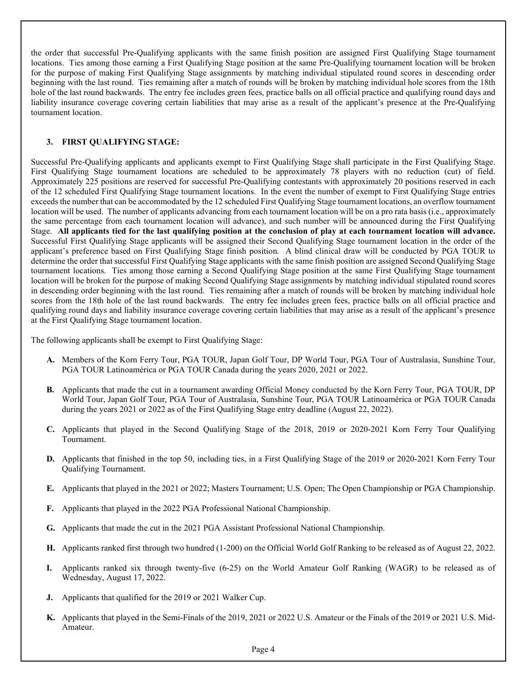the order that successful Pre-Qualifying applicants with the same finish position are assigned First Qualifying Stage tournament locations. Ties among those earning a First Qualifying Stage position at the same Pre-Qualifying tournament location will be broken for the purpose of making First Qualifying Stage assignments by matching individual stipulated round scores in descending order beginning with the last round. Ties remaining after a match of rounds will be broken by matching individual hole scores from the 18th hole of the last round backwards. The entry fee includes green fees, practice balls on all official practice and qualifying round days and liability insurance coverage covering certain liabilities that may arise as a result of the applicant's presence at the Pre-Qualifying tournament location.

## 3. FIRST QUALIFYING STAGE:

Successful Pre-Qualifying applicants and applicants exempt to First Qualifying Stage shall participate in the First Qualifying Stage. First Qualifying Stage tournament locations are scheduled to be approximately 78 players with no reduction (cut) of field. Approximately 225 positions are reserved for successful Pre-Qualifying contestants with approximately 20 positions reserved in each of the 12 scheduled First Qualifying Stage tournament locations. In the event the number of exempt to First Qualifying Stage entries exceeds the number that can be accommodated by the 12 scheduled First Qualifying Stage tournament locations, an overflow tournament location will be used. The number of applicants advancing from each tournament location will be on a pro rata basis (i.e., approximately the same percentage from each tournament location will advance), and such number will be announced during the First Qualifying Stage. All applicants tied for the last qualifying position at the conclusion of play at each tournament location will advance. Successful First Qualifying Stage applicants will be assigned their Second Qualifying Stage tournament location in the order of the applicant's preference based on First Qualifying Stage finish position. A blind clinical draw will be conducted by PGA TOUR to determine the order that successful First Qualifying Stage applicants with the same finish position are assigned Second Qualifying Stage tournament locations. Ties among those earning a Second Qualifying Stage position at the same First Qualifying Stage tournament location will be broken for the purpose of making Second Qualifying Stage assignments by matching individual stipulated round scores in descending order beginning with the last round. Ties remaining after a match of rounds will be broken by matching individual hole scores from the 18th hole of the last round backwards. The entry fee includes green fees, practice balls on all official practice and qualifying round days and liability insurance coverage covering certain liabilities that may arise as a result of the applicant's presence at the First Qualifying Stage tournament location.

The following applicants shall be exempt to First Qualifying Stage:

- A. Members of the Korn Ferry Tour, PGA TOUR, Japan Golf Tour, DP World Tour, PGA Tour of Australasia, Sunshine Tour, PGA TOUR Latinoamérica or PGA TOUR Canada during the years 2020, 2021 or 2022.
- B. Applicants that made the cut in a tournament awarding Official Money conducted by the Korn Ferry Tour, PGA TOUR, DP World Tour, Japan Golf Tour, PGA Tour of Australasia, Sunshine Tour, PGA TOUR Latinoamérica or PGA TOUR Canada during the years 2021 or 2022 as of the First Qualifying Stage entry deadline (August 22, 2022).
- C. Applicants that played in the Second Qualifying Stage of the 2018, 2019 or 2020-2021 Korn Ferry Tour Qualifying Tournament.
- D. Applicants that finished in the top 50, including ties, in a First Qualifying Stage of the 2019 or 2020-2021 Korn Ferry Tour Qualifying Tournament.
- E. Applicants that played in the 2021 or 2022; Masters Tournament; U.S. Open; The Open Championship or PGA Championship.
- F. Applicants that played in the 2022 PGA Professional National Championship.
- G. Applicants that made the cut in the 2021 PGA Assistant Professional National Championship.
- H. Applicants ranked first through two hundred (1-200) on the Official World Golf Ranking to be released as of August 22, 2022.
- Applicants ranked six through twenty-five (6-25) on the World Amateur Golf Ranking (WAGR) to be released as of Wednesday, August 17, 2022.
- J. Applicants that qualified for the 2019 or 2021 Walker Cup.
- K. Applicants that played in the Semi-Finals of the 2019, 2021 or 2022 U.S. Amateur or the Finals of the 2019 or 2021 U.S. Mid-Amateur.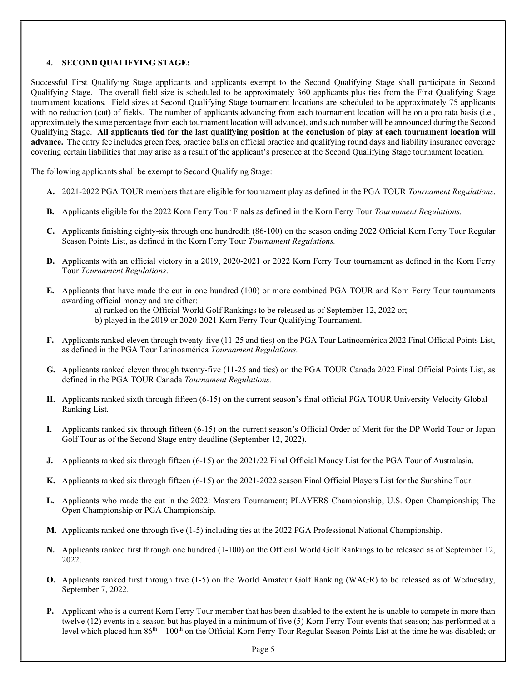### 4. SECOND QUALIFYING STAGE:

Successful First Qualifying Stage applicants and applicants exempt to the Second Qualifying Stage shall participate in Second Qualifying Stage. The overall field size is scheduled to be approximately 360 applicants plus ties from the First Qualifying Stage tournament locations. Field sizes at Second Qualifying Stage tournament locations are scheduled to be approximately 75 applicants with no reduction (cut) of fields. The number of applicants advancing from each tournament location will be on a pro rata basis (i.e., approximately the same percentage from each tournament location will advance), and such number will be announced during the Second Qualifying Stage. All applicants tied for the last qualifying position at the conclusion of play at each tournament location will advance. The entry fee includes green fees, practice balls on official practice and qualifying round days and liability insurance coverage covering certain liabilities that may arise as a result of the applicant's presence at the Second Qualifying Stage tournament location.

The following applicants shall be exempt to Second Qualifying Stage:

- A. 2021-2022 PGA TOUR members that are eligible for tournament play as defined in the PGA TOUR Tournament Regulations.
- B. Applicants eligible for the 2022 Korn Ferry Tour Finals as defined in the Korn Ferry Tour Tournament Regulations.
- C. Applicants finishing eighty-six through one hundredth (86-100) on the season ending 2022 Official Korn Ferry Tour Regular Season Points List, as defined in the Korn Ferry Tour Tournament Regulations.
- D. Applicants with an official victory in a 2019, 2020-2021 or 2022 Korn Ferry Tour tournament as defined in the Korn Ferry Tour Tournament Regulations.
- E. Applicants that have made the cut in one hundred (100) or more combined PGA TOUR and Korn Ferry Tour tournaments awarding official money and are either:
	- a) ranked on the Official World Golf Rankings to be released as of September 12, 2022 or;

b) played in the 2019 or 2020-2021 Korn Ferry Tour Qualifying Tournament.

- F. Applicants ranked eleven through twenty-five (11-25 and ties) on the PGA Tour Latinoamérica 2022 Final Official Points List, as defined in the PGA Tour Latinoamérica Tournament Regulations.
- G. Applicants ranked eleven through twenty-five (11-25 and ties) on the PGA TOUR Canada 2022 Final Official Points List, as defined in the PGA TOUR Canada Tournament Regulations.
- H. Applicants ranked sixth through fifteen (6-15) on the current season's final official PGA TOUR University Velocity Global Ranking List.
- I. Applicants ranked six through fifteen (6-15) on the current season's Official Order of Merit for the DP World Tour or Japan Golf Tour as of the Second Stage entry deadline (September 12, 2022).
- J. Applicants ranked six through fifteen (6-15) on the 2021/22 Final Official Money List for the PGA Tour of Australasia.
- K. Applicants ranked six through fifteen (6-15) on the 2021-2022 season Final Official Players List for the Sunshine Tour.
- L. Applicants who made the cut in the 2022: Masters Tournament; PLAYERS Championship; U.S. Open Championship; The Open Championship or PGA Championship.
- M. Applicants ranked one through five (1-5) including ties at the 2022 PGA Professional National Championship.
- N. Applicants ranked first through one hundred (1-100) on the Official World Golf Rankings to be released as of September 12, 2022.
- O. Applicants ranked first through five (1-5) on the World Amateur Golf Ranking (WAGR) to be released as of Wednesday, September 7, 2022.
- P. Applicant who is a current Korn Ferry Tour member that has been disabled to the extent he is unable to compete in more than twelve (12) events in a season but has played in a minimum of five (5) Korn Ferry Tour events that season; has performed at a level which placed him  $86<sup>th</sup> - 100<sup>th</sup>$  on the Official Korn Ferry Tour Regular Season Points List at the time he was disabled; or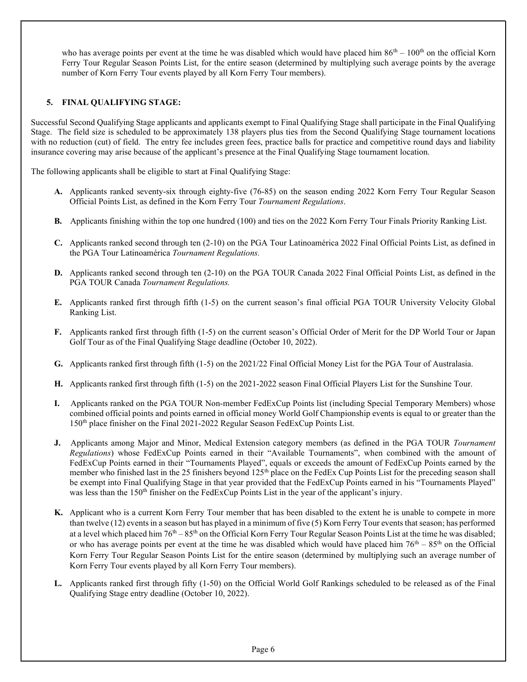who has average points per event at the time he was disabled which would have placed him  $86<sup>th</sup> - 100<sup>th</sup>$  on the official Korn Ferry Tour Regular Season Points List, for the entire season (determined by multiplying such average points by the average number of Korn Ferry Tour events played by all Korn Ferry Tour members).

## 5. FINAL QUALIFYING STAGE:

Successful Second Qualifying Stage applicants and applicants exempt to Final Qualifying Stage shall participate in the Final Qualifying Stage. The field size is scheduled to be approximately 138 players plus ties from the Second Qualifying Stage tournament locations with no reduction (cut) of field. The entry fee includes green fees, practice balls for practice and competitive round days and liability insurance covering may arise because of the applicant's presence at the Final Qualifying Stage tournament location.

The following applicants shall be eligible to start at Final Qualifying Stage:

- A. Applicants ranked seventy-six through eighty-five (76-85) on the season ending 2022 Korn Ferry Tour Regular Season Official Points List, as defined in the Korn Ferry Tour Tournament Regulations.
- B. Applicants finishing within the top one hundred (100) and ties on the 2022 Korn Ferry Tour Finals Priority Ranking List.
- C. Applicants ranked second through ten (2-10) on the PGA Tour Latinoamérica 2022 Final Official Points List, as defined in the PGA Tour Latinoamérica Tournament Regulations.
- D. Applicants ranked second through ten (2-10) on the PGA TOUR Canada 2022 Final Official Points List, as defined in the PGA TOUR Canada Tournament Regulations.
- E. Applicants ranked first through fifth (1-5) on the current season's final official PGA TOUR University Velocity Global Ranking List.
- F. Applicants ranked first through fifth (1-5) on the current season's Official Order of Merit for the DP World Tour or Japan Golf Tour as of the Final Qualifying Stage deadline (October 10, 2022).
- G. Applicants ranked first through fifth (1-5) on the 2021/22 Final Official Money List for the PGA Tour of Australasia.
- H. Applicants ranked first through fifth (1-5) on the 2021-2022 season Final Official Players List for the Sunshine Tour.
- I. Applicants ranked on the PGA TOUR Non-member FedExCup Points list (including Special Temporary Members) whose combined official points and points earned in official money World Golf Championship events is equal to or greater than the 150th place finisher on the Final 2021-2022 Regular Season FedExCup Points List.
- J. Applicants among Major and Minor, Medical Extension category members (as defined in the PGA TOUR Tournament Regulations) whose FedExCup Points earned in their "Available Tournaments", when combined with the amount of FedExCup Points earned in their "Tournaments Played", equals or exceeds the amount of FedExCup Points earned by the member who finished last in the 25 finishers beyond  $125<sup>th</sup>$  place on the FedEx Cup Points List for the preceding season shall be exempt into Final Qualifying Stage in that year provided that the FedExCup Points earned in his "Tournaments Played" was less than the 150<sup>th</sup> finisher on the FedExCup Points List in the year of the applicant's injury.
- K. Applicant who is a current Korn Ferry Tour member that has been disabled to the extent he is unable to compete in more than twelve (12) events in a season but has played in a minimum of five (5) Korn Ferry Tour events that season; has performed at a level which placed him  $76<sup>th</sup> – 85<sup>th</sup>$  on the Official Korn Ferry Tour Regular Season Points List at the time he was disabled; or who has average points per event at the time he was disabled which would have placed him  $76<sup>th</sup> - 85<sup>th</sup>$  on the Official Korn Ferry Tour Regular Season Points List for the entire season (determined by multiplying such an average number of Korn Ferry Tour events played by all Korn Ferry Tour members).
- L. Applicants ranked first through fifty (1-50) on the Official World Golf Rankings scheduled to be released as of the Final Qualifying Stage entry deadline (October 10, 2022).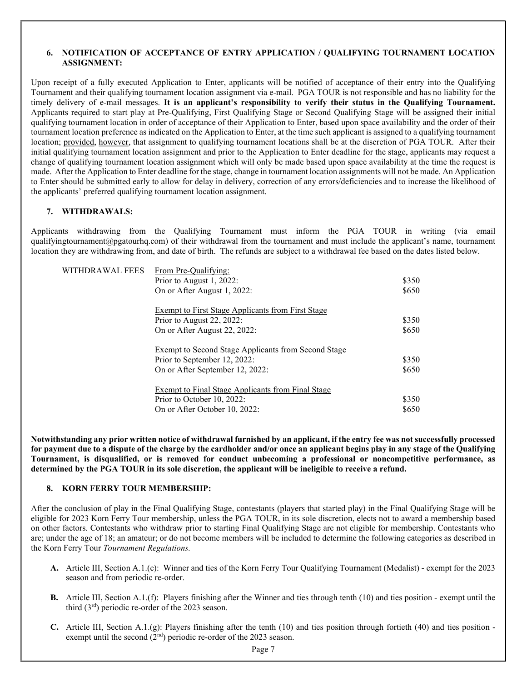### 6. NOTIFICATION OF ACCEPTANCE OF ENTRY APPLICATION / QUALIFYING TOURNAMENT LOCATION ASSIGNMENT:

Upon receipt of a fully executed Application to Enter, applicants will be notified of acceptance of their entry into the Qualifying Tournament and their qualifying tournament location assignment via e-mail. PGA TOUR is not responsible and has no liability for the timely delivery of e-mail messages. It is an applicant's responsibility to verify their status in the Qualifying Tournament. Applicants required to start play at Pre-Qualifying, First Qualifying Stage or Second Qualifying Stage will be assigned their initial qualifying tournament location in order of acceptance of their Application to Enter, based upon space availability and the order of their tournament location preference as indicated on the Application to Enter, at the time such applicant is assigned to a qualifying tournament location; provided, however, that assignment to qualifying tournament locations shall be at the discretion of PGA TOUR. After their initial qualifying tournament location assignment and prior to the Application to Enter deadline for the stage, applicants may request a change of qualifying tournament location assignment which will only be made based upon space availability at the time the request is made. After the Application to Enter deadline for the stage, change in tournament location assignments will not be made. An Application to Enter should be submitted early to allow for delay in delivery, correction of any errors/deficiencies and to increase the likelihood of the applicants' preferred qualifying tournament location assignment.

### 7. WITHDRAWALS:

Applicants withdrawing from the Qualifying Tournament must inform the PGA TOUR in writing (via email qualifyingtournament@pgatourhq.com) of their withdrawal from the tournament and must include the applicant's name, tournament location they are withdrawing from, and date of birth. The refunds are subject to a withdrawal fee based on the dates listed below.

| WITHDRAWAL FEES | From Pre-Oualifying:                                     |       |
|-----------------|----------------------------------------------------------|-------|
|                 | Prior to August 1, 2022:                                 | \$350 |
|                 | On or After August 1, 2022:                              | \$650 |
|                 | <b>Exempt to First Stage Applicants from First Stage</b> |       |
|                 | Prior to August 22, 2022:                                | \$350 |
|                 | On or After August 22, 2022:                             | \$650 |
|                 | Exempt to Second Stage Applicants from Second Stage      |       |
|                 | Prior to September 12, 2022:                             | \$350 |
|                 | On or After September 12, 2022:                          | \$650 |
|                 | Exempt to Final Stage Applicants from Final Stage        |       |
|                 | Prior to October 10, 2022:                               | \$350 |
|                 | On or After October 10, 2022:                            | \$650 |

Notwithstanding any prior written notice of withdrawal furnished by an applicant, if the entry fee was not successfully processed for payment due to a dispute of the charge by the cardholder and/or once an applicant begins play in any stage of the Qualifying Tournament, is disqualified, or is removed for conduct unbecoming a professional or noncompetitive performance, as determined by the PGA TOUR in its sole discretion, the applicant will be ineligible to receive a refund.

### 8. KORN FERRY TOUR MEMBERSHIP:

After the conclusion of play in the Final Qualifying Stage, contestants (players that started play) in the Final Qualifying Stage will be eligible for 2023 Korn Ferry Tour membership, unless the PGA TOUR, in its sole discretion, elects not to award a membership based on other factors. Contestants who withdraw prior to starting Final Qualifying Stage are not eligible for membership. Contestants who are; under the age of 18; an amateur; or do not become members will be included to determine the following categories as described in the Korn Ferry Tour Tournament Regulations.

- A. Article III, Section A.1.(c): Winner and ties of the Korn Ferry Tour Qualifying Tournament (Medalist) exempt for the 2023 season and from periodic re-order.
- B. Article III, Section A.1.(f): Players finishing after the Winner and ties through tenth (10) and ties position exempt until the third  $(3<sup>rd</sup>)$  periodic re-order of the 2023 season.
- C. Article III, Section A.1.(g): Players finishing after the tenth (10) and ties position through fortieth (40) and ties position exempt until the second  $(2<sup>nd</sup>)$  periodic re-order of the 2023 season.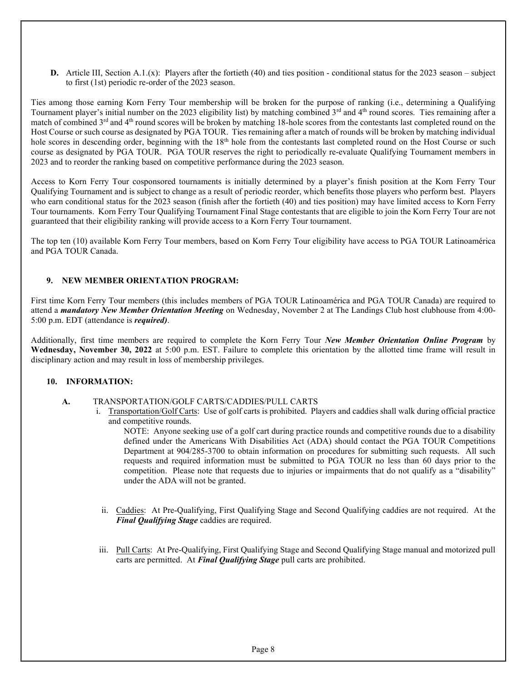**D.** Article III, Section A.1.(x): Players after the fortieth (40) and ties position - conditional status for the 2023 season – subject to first (1st) periodic re-order of the 2023 season.

Ties among those earning Korn Ferry Tour membership will be broken for the purpose of ranking (i.e., determining a Qualifying Tournament player's initial number on the 2023 eligibility list) by matching combined  $3<sup>rd</sup>$  and  $4<sup>th</sup>$  round scores. Ties remaining after a match of combined 3<sup>rd</sup> and 4<sup>th</sup> round scores will be broken by matching 18-hole scores from the contestants last completed round on the Host Course or such course as designated by PGA TOUR. Ties remaining after a match of rounds will be broken by matching individual hole scores in descending order, beginning with the 18<sup>th</sup> hole from the contestants last completed round on the Host Course or such course as designated by PGA TOUR. PGA TOUR reserves the right to periodically re-evaluate Qualifying Tournament members in 2023 and to reorder the ranking based on competitive performance during the 2023 season.

Access to Korn Ferry Tour cosponsored tournaments is initially determined by a player's finish position at the Korn Ferry Tour Qualifying Tournament and is subject to change as a result of periodic reorder, which benefits those players who perform best. Players who earn conditional status for the 2023 season (finish after the fortieth (40) and ties position) may have limited access to Korn Ferry Tour tournaments. Korn Ferry Tour Qualifying Tournament Final Stage contestants that are eligible to join the Korn Ferry Tour are not guaranteed that their eligibility ranking will provide access to a Korn Ferry Tour tournament.

The top ten (10) available Korn Ferry Tour members, based on Korn Ferry Tour eligibility have access to PGA TOUR Latinoamérica and PGA TOUR Canada.

### 9. NEW MEMBER ORIENTATION PROGRAM:

First time Korn Ferry Tour members (this includes members of PGA TOUR Latinoamérica and PGA TOUR Canada) are required to attend a *mandatory New Member Orientation Meeting* on Wednesday, November 2 at The Landings Club host clubhouse from 4:00-5:00 p.m. EDT (attendance is *required*).

Additionally, first time members are required to complete the Korn Ferry Tour New Member Orientation Online Program by Wednesday, November 30, 2022 at 5:00 p.m. EST. Failure to complete this orientation by the allotted time frame will result in disciplinary action and may result in loss of membership privileges.

### 10. INFORMATION:

### A. TRANSPORTATION/GOLF CARTS/CADDIES/PULL CARTS

i. Transportation/Golf Carts: Use of golf carts is prohibited. Players and caddies shall walk during official practice and competitive rounds.

NOTE: Anyone seeking use of a golf cart during practice rounds and competitive rounds due to a disability defined under the Americans With Disabilities Act (ADA) should contact the PGA TOUR Competitions Department at 904/285-3700 to obtain information on procedures for submitting such requests. All such requests and required information must be submitted to PGA TOUR no less than 60 days prior to the competition. Please note that requests due to injuries or impairments that do not qualify as a "disability" under the ADA will not be granted.

- ii. Caddies: At Pre-Qualifying, First Qualifying Stage and Second Qualifying caddies are not required. At the Final Qualifying Stage caddies are required.
- iii. Pull Carts: At Pre-Qualifying, First Qualifying Stage and Second Qualifying Stage manual and motorized pull carts are permitted. At **Final Qualifying Stage** pull carts are prohibited.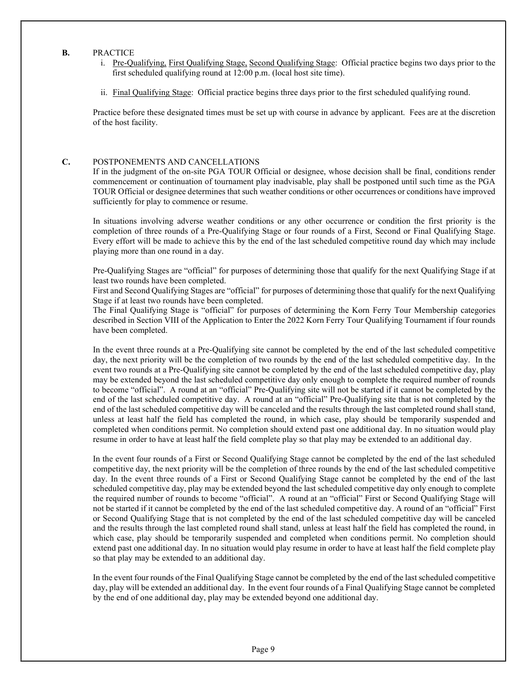#### B. PRACTICE

- i. Pre-Qualifying, First Qualifying Stage, Second Qualifying Stage: Official practice begins two days prior to the first scheduled qualifying round at 12:00 p.m. (local host site time).
- ii. Final Qualifying Stage: Official practice begins three days prior to the first scheduled qualifying round.

Practice before these designated times must be set up with course in advance by applicant. Fees are at the discretion of the host facility.

#### C. POSTPONEMENTS AND CANCELLATIONS

If in the judgment of the on-site PGA TOUR Official or designee, whose decision shall be final, conditions render commencement or continuation of tournament play inadvisable, play shall be postponed until such time as the PGA TOUR Official or designee determines that such weather conditions or other occurrences or conditions have improved sufficiently for play to commence or resume.

In situations involving adverse weather conditions or any other occurrence or condition the first priority is the completion of three rounds of a Pre-Qualifying Stage or four rounds of a First, Second or Final Qualifying Stage. Every effort will be made to achieve this by the end of the last scheduled competitive round day which may include playing more than one round in a day.

Pre-Qualifying Stages are "official" for purposes of determining those that qualify for the next Qualifying Stage if at least two rounds have been completed.

First and Second Qualifying Stages are "official" for purposes of determining those that qualify for the next Qualifying Stage if at least two rounds have been completed.

The Final Qualifying Stage is "official" for purposes of determining the Korn Ferry Tour Membership categories described in Section VIII of the Application to Enter the 2022 Korn Ferry Tour Qualifying Tournament if four rounds have been completed.

In the event three rounds at a Pre-Qualifying site cannot be completed by the end of the last scheduled competitive day, the next priority will be the completion of two rounds by the end of the last scheduled competitive day. In the event two rounds at a Pre-Qualifying site cannot be completed by the end of the last scheduled competitive day, play may be extended beyond the last scheduled competitive day only enough to complete the required number of rounds to become "official". A round at an "official" Pre-Qualifying site will not be started if it cannot be completed by the end of the last scheduled competitive day. A round at an "official" Pre-Qualifying site that is not completed by the end of the last scheduled competitive day will be canceled and the results through the last completed round shall stand, unless at least half the field has completed the round, in which case, play should be temporarily suspended and completed when conditions permit. No completion should extend past one additional day. In no situation would play resume in order to have at least half the field complete play so that play may be extended to an additional day.

In the event four rounds of a First or Second Qualifying Stage cannot be completed by the end of the last scheduled competitive day, the next priority will be the completion of three rounds by the end of the last scheduled competitive day. In the event three rounds of a First or Second Qualifying Stage cannot be completed by the end of the last scheduled competitive day, play may be extended beyond the last scheduled competitive day only enough to complete the required number of rounds to become "official". A round at an "official" First or Second Qualifying Stage will not be started if it cannot be completed by the end of the last scheduled competitive day. A round of an "official" First or Second Qualifying Stage that is not completed by the end of the last scheduled competitive day will be canceled and the results through the last completed round shall stand, unless at least half the field has completed the round, in which case, play should be temporarily suspended and completed when conditions permit. No completion should extend past one additional day. In no situation would play resume in order to have at least half the field complete play so that play may be extended to an additional day.

In the event four rounds of the Final Qualifying Stage cannot be completed by the end of the last scheduled competitive day, play will be extended an additional day. In the event four rounds of a Final Qualifying Stage cannot be completed by the end of one additional day, play may be extended beyond one additional day.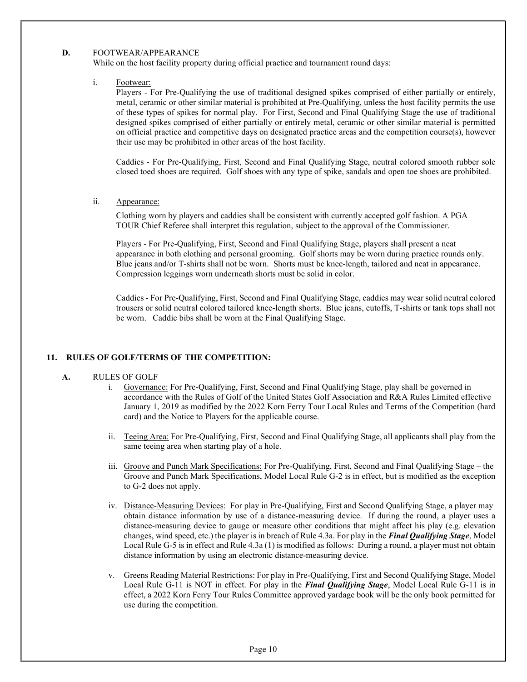#### D. FOOTWEAR/APPEARANCE

While on the host facility property during official practice and tournament round days:

#### i. Footwear:

Players - For Pre-Qualifying the use of traditional designed spikes comprised of either partially or entirely, metal, ceramic or other similar material is prohibited at Pre-Qualifying, unless the host facility permits the use of these types of spikes for normal play. For First, Second and Final Qualifying Stage the use of traditional designed spikes comprised of either partially or entirely metal, ceramic or other similar material is permitted on official practice and competitive days on designated practice areas and the competition course(s), however their use may be prohibited in other areas of the host facility.

Caddies - For Pre-Qualifying, First, Second and Final Qualifying Stage, neutral colored smooth rubber sole closed toed shoes are required. Golf shoes with any type of spike, sandals and open toe shoes are prohibited.

#### ii. Appearance:

Clothing worn by players and caddies shall be consistent with currently accepted golf fashion. A PGA TOUR Chief Referee shall interpret this regulation, subject to the approval of the Commissioner.

Players - For Pre-Qualifying, First, Second and Final Qualifying Stage, players shall present a neat appearance in both clothing and personal grooming. Golf shorts may be worn during practice rounds only. Blue jeans and/or T-shirts shall not be worn. Shorts must be knee-length, tailored and neat in appearance. Compression leggings worn underneath shorts must be solid in color.

Caddies - For Pre-Qualifying, First, Second and Final Qualifying Stage, caddies may wear solid neutral colored trousers or solid neutral colored tailored knee-length shorts. Blue jeans, cutoffs, T-shirts or tank tops shall not be worn. Caddie bibs shall be worn at the Final Qualifying Stage.

### 11. RULES OF GOLF/TERMS OF THE COMPETITION:

#### A. RULES OF GOLF

- i. Governance: For Pre-Qualifying, First, Second and Final Qualifying Stage, play shall be governed in accordance with the Rules of Golf of the United States Golf Association and R&A Rules Limited effective January 1, 2019 as modified by the 2022 Korn Ferry Tour Local Rules and Terms of the Competition (hard card) and the Notice to Players for the applicable course.
- ii. Teeing Area: For Pre-Qualifying, First, Second and Final Qualifying Stage, all applicants shall play from the same teeing area when starting play of a hole.
- iii. Groove and Punch Mark Specifications: For Pre-Qualifying, First, Second and Final Qualifying Stage the Groove and Punch Mark Specifications, Model Local Rule G-2 is in effect, but is modified as the exception to G-2 does not apply.
- iv. Distance-Measuring Devices: For play in Pre-Qualifying, First and Second Qualifying Stage, a player may obtain distance information by use of a distance-measuring device. If during the round, a player uses a distance-measuring device to gauge or measure other conditions that might affect his play (e.g. elevation changes, wind speed, etc.) the player is in breach of Rule 4.3a. For play in the Final Qualifying Stage, Model Local Rule G-5 is in effect and Rule 4.3a (1) is modified as follows: During a round, a player must not obtain distance information by using an electronic distance-measuring device.
- v. Greens Reading Material Restrictions: For play in Pre-Qualifying, First and Second Qualifying Stage, Model Local Rule G-11 is NOT in effect. For play in the Final Qualifying Stage, Model Local Rule G-11 is in effect, a 2022 Korn Ferry Tour Rules Committee approved yardage book will be the only book permitted for use during the competition.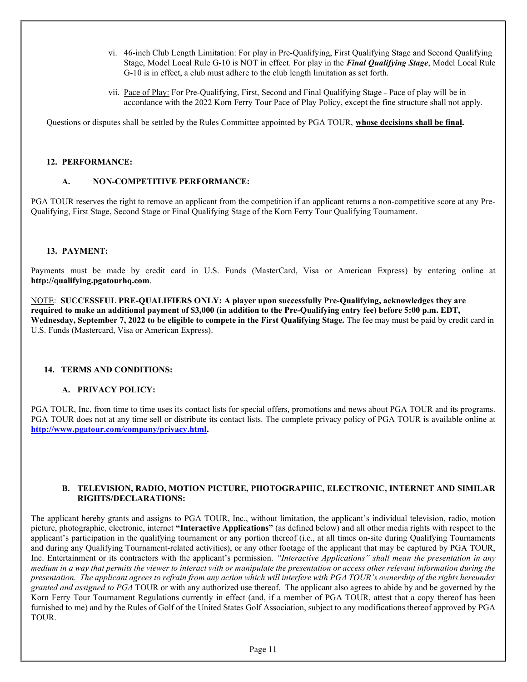- vi. 46-inch Club Length Limitation: For play in Pre-Qualifying, First Qualifying Stage and Second Qualifying Stage, Model Local Rule G-10 is NOT in effect. For play in the Final Qualifying Stage, Model Local Rule G-10 is in effect, a club must adhere to the club length limitation as set forth.
- vii. Pace of Play: For Pre-Qualifying, First, Second and Final Qualifying Stage Pace of play will be in accordance with the 2022 Korn Ferry Tour Pace of Play Policy, except the fine structure shall not apply.

Questions or disputes shall be settled by the Rules Committee appointed by PGA TOUR, whose decisions shall be final.

### 12. PERFORMANCE:

### A. NON-COMPETITIVE PERFORMANCE:

PGA TOUR reserves the right to remove an applicant from the competition if an applicant returns a non-competitive score at any Pre-Qualifying, First Stage, Second Stage or Final Qualifying Stage of the Korn Ferry Tour Qualifying Tournament.

### 13. PAYMENT:

Payments must be made by credit card in U.S. Funds (MasterCard, Visa or American Express) by entering online at http://qualifying.pgatourhq.com.

NOTE: SUCCESSFUL PRE-QUALIFIERS ONLY: A player upon successfully Pre-Qualifying, acknowledges they are required to make an additional payment of \$3,000 (in addition to the Pre-Qualifying entry fee) before 5:00 p.m. EDT, Wednesday, September 7, 2022 to be eligible to compete in the First Qualifying Stage. The fee may must be paid by credit card in U.S. Funds (Mastercard, Visa or American Express).

### 14. TERMS AND CONDITIONS:

### A. PRIVACY POLICY:

PGA TOUR, Inc. from time to time uses its contact lists for special offers, promotions and news about PGA TOUR and its programs. PGA TOUR does not at any time sell or distribute its contact lists. The complete privacy policy of PGA TOUR is available online at http://www.pgatour.com/company/privacy.html.

### B. TELEVISION, RADIO, MOTION PICTURE, PHOTOGRAPHIC, ELECTRONIC, INTERNET AND SIMILAR RIGHTS/DECLARATIONS:

The applicant hereby grants and assigns to PGA TOUR, Inc., without limitation, the applicant's individual television, radio, motion picture, photographic, electronic, internet "Interactive Applications" (as defined below) and all other media rights with respect to the applicant's participation in the qualifying tournament or any portion thereof (i.e., at all times on-site during Qualifying Tournaments and during any Qualifying Tournament-related activities), or any other footage of the applicant that may be captured by PGA TOUR, Inc. Entertainment or its contractors with the applicant's permission. "Interactive Applications" shall mean the presentation in any medium in a way that permits the viewer to interact with or manipulate the presentation or access other relevant information during the presentation. The applicant agrees to refrain from any action which will interfere with PGA TOUR's ownership of the rights hereunder granted and assigned to PGA TOUR or with any authorized use thereof. The applicant also agrees to abide by and be governed by the Korn Ferry Tour Tournament Regulations currently in effect (and, if a member of PGA TOUR, attest that a copy thereof has been furnished to me) and by the Rules of Golf of the United States Golf Association, subject to any modifications thereof approved by PGA TOUR.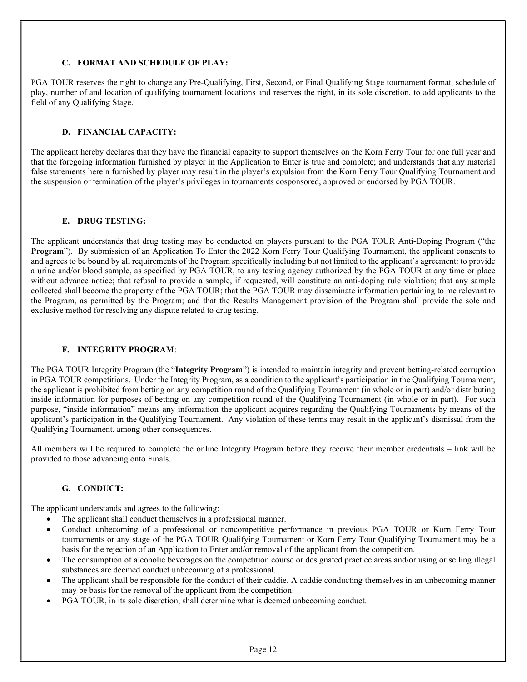### C. FORMAT AND SCHEDULE OF PLAY:

PGA TOUR reserves the right to change any Pre-Qualifying, First, Second, or Final Qualifying Stage tournament format, schedule of play, number of and location of qualifying tournament locations and reserves the right, in its sole discretion, to add applicants to the field of any Qualifying Stage.

### D. FINANCIAL CAPACITY:

The applicant hereby declares that they have the financial capacity to support themselves on the Korn Ferry Tour for one full year and that the foregoing information furnished by player in the Application to Enter is true and complete; and understands that any material false statements herein furnished by player may result in the player's expulsion from the Korn Ferry Tour Qualifying Tournament and the suspension or termination of the player's privileges in tournaments cosponsored, approved or endorsed by PGA TOUR.

### E. DRUG TESTING:

The applicant understands that drug testing may be conducted on players pursuant to the PGA TOUR Anti-Doping Program ("the Program"). By submission of an Application To Enter the 2022 Korn Ferry Tour Qualifying Tournament, the applicant consents to and agrees to be bound by all requirements of the Program specifically including but not limited to the applicant's agreement: to provide a urine and/or blood sample, as specified by PGA TOUR, to any testing agency authorized by the PGA TOUR at any time or place without advance notice; that refusal to provide a sample, if requested, will constitute an anti-doping rule violation; that any sample collected shall become the property of the PGA TOUR; that the PGA TOUR may disseminate information pertaining to me relevant to the Program, as permitted by the Program; and that the Results Management provision of the Program shall provide the sole and exclusive method for resolving any dispute related to drug testing.

## F. INTEGRITY PROGRAM:

The PGA TOUR Integrity Program (the "Integrity Program") is intended to maintain integrity and prevent betting-related corruption in PGA TOUR competitions. Under the Integrity Program, as a condition to the applicant's participation in the Qualifying Tournament, the applicant is prohibited from betting on any competition round of the Qualifying Tournament (in whole or in part) and/or distributing inside information for purposes of betting on any competition round of the Qualifying Tournament (in whole or in part). For such purpose, "inside information" means any information the applicant acquires regarding the Qualifying Tournaments by means of the applicant's participation in the Qualifying Tournament. Any violation of these terms may result in the applicant's dismissal from the Qualifying Tournament, among other consequences.

All members will be required to complete the online Integrity Program before they receive their member credentials – link will be provided to those advancing onto Finals.

## G. CONDUCT:

The applicant understands and agrees to the following:

- The applicant shall conduct themselves in a professional manner.
- Conduct unbecoming of a professional or noncompetitive performance in previous PGA TOUR or Korn Ferry Tour tournaments or any stage of the PGA TOUR Qualifying Tournament or Korn Ferry Tour Qualifying Tournament may be a basis for the rejection of an Application to Enter and/or removal of the applicant from the competition.
- The consumption of alcoholic beverages on the competition course or designated practice areas and/or using or selling illegal substances are deemed conduct unbecoming of a professional.
- The applicant shall be responsible for the conduct of their caddie. A caddie conducting themselves in an unbecoming manner may be basis for the removal of the applicant from the competition.
- PGA TOUR, in its sole discretion, shall determine what is deemed unbecoming conduct.